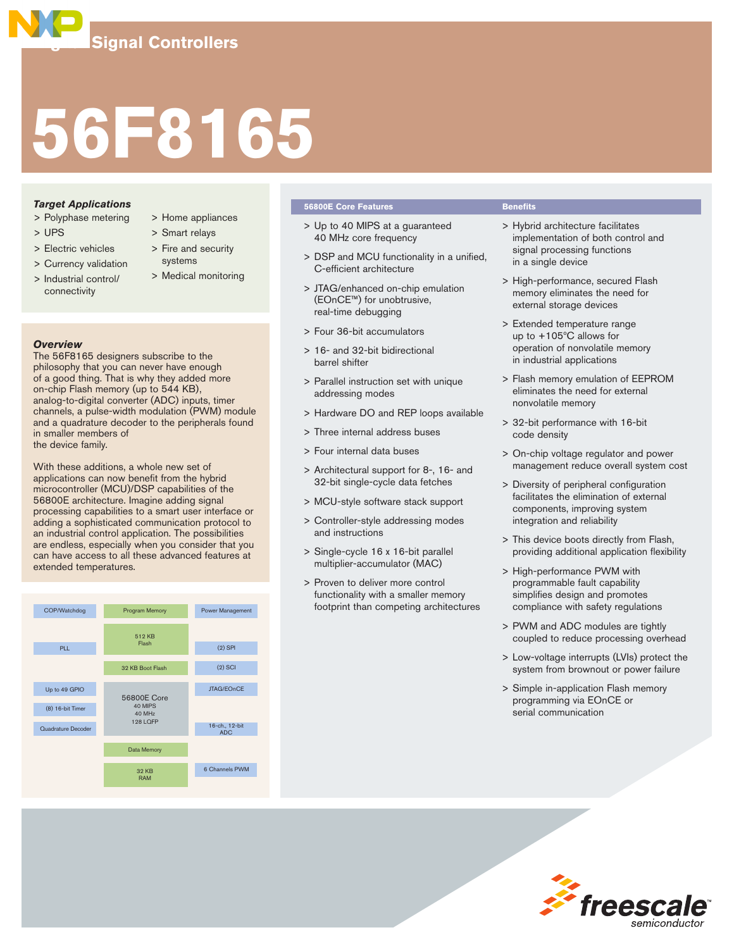# **56F8165**

# *Target Applications*

- > Polyphase metering
- > UPS
- > Electric vehicles
- > Currency validation
- > Industrial control/ connectivity
- > Home appliances
- > Smart relays
- > Fire and security systems
- > Medical monitoring

# *Overview*

The 56F8165 designers subscribe to the philosophy that you can never have enough of a good thing. That is why they added more on-chip Flash memory (up to 544 KB), analog-to-digital converter (ADC) inputs, timer channels, a pulse-width modulation (PWM) module and a quadrature decoder to the peripherals found in smaller members of the device family.

of<br>
Solid Solid Solid Solid Interface<br>
Protocol to<br>
Discolling Solid Solid Solid Solid Solid Solid Solid Solid<br>
Power Management<br>
(2) SPI With these additions, a whole new set of applications can now benefit from the hybrid microcontroller (MCU)/DSP capabilities of the 56800E architecture. Imagine adding signal processing capabilities to a smart user interface or adding a sophisticated communication protocol to an industrial control application. The possibilities are endless, especially when you consider that you can have access to all these advanced features at extended temperatures.



## **56800E Core Features Benefits**

- > Up to 40 MIPS at a guaranteed 40 MHz core frequency
- > DSP and MCU functionality in a unified, C-efficient architecture
- > JTAG/enhanced on-chip emulation (EOnCE™) for unobtrusive, real-time debugging
- > Four 36-bit accumulators
- > 16- and 32-bit bidirectional barrel shifter
- > Parallel instruction set with unique addressing modes
- > Hardware DO and REP loops available
- > Three internal address buses
- > Four internal data buses
- > Architectural support for 8-, 16- and 32-bit single-cycle data fetches
- > MCU-style software stack support
- > Controller-style addressing modes and instructions
- > Single-cycle 16 x 16-bit parallel multiplier-accumulator (MAC)
- > Proven to deliver more control functionality with a smaller memory footprint than competing architectures

- > Hybrid architecture facilitates implementation of both control and signal processing functions in a single device
- > High-performance, secured Flash memory eliminates the need for external storage devices
- > Extended temperature range up to +105ºC allows for operation of nonvolatile memory in industrial applications
- > Flash memory emulation of EEPROM eliminates the need for external nonvolatile memory
- > 32-bit performance with 16-bit code density
- > On-chip voltage regulator and power management reduce overall system cost
- > Diversity of peripheral configuration facilitates the elimination of external components, improving system integration and reliability
- > This device boots directly from Flash, providing additional application flexibility
- > High-performance PWM with programmable fault capability simplifies design and promotes compliance with safety regulations
- > PWM and ADC modules are tightly coupled to reduce processing overhead
- > Low-voltage interrupts (LVIs) protect the system from brownout or power failure

*Freesc* 

> Simple in-application Flash memory programming via EOnCE or serial communication